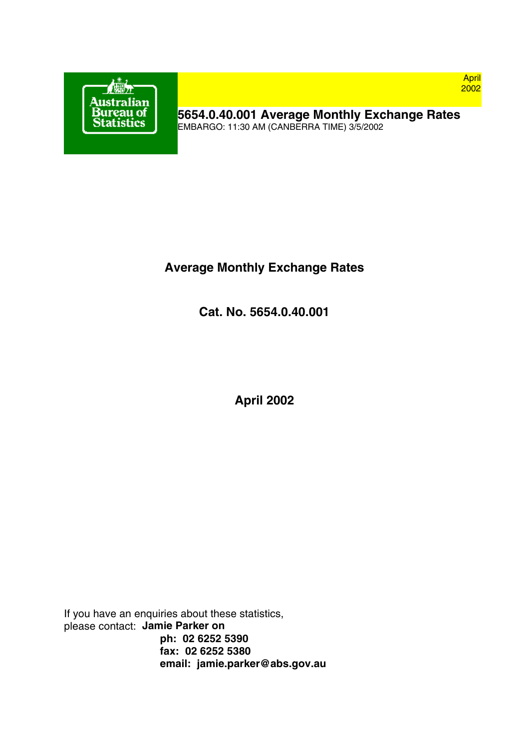

**5654.0.40.001 Average Monthly Exchange Rates** EMBARGO: 11:30 AM (CANBERRA TIME) 3/5/2002

# **Average Monthly Exchange Rates**

**Cat. No. 5654.0.40.001**

**April 2002**

If you have an enquiries about these statistics, please contact: **Jamie Parker on ph: 02 6252 5390 fax: 02 6252 5380 email: jamie.parker@abs.gov.au**

April 2002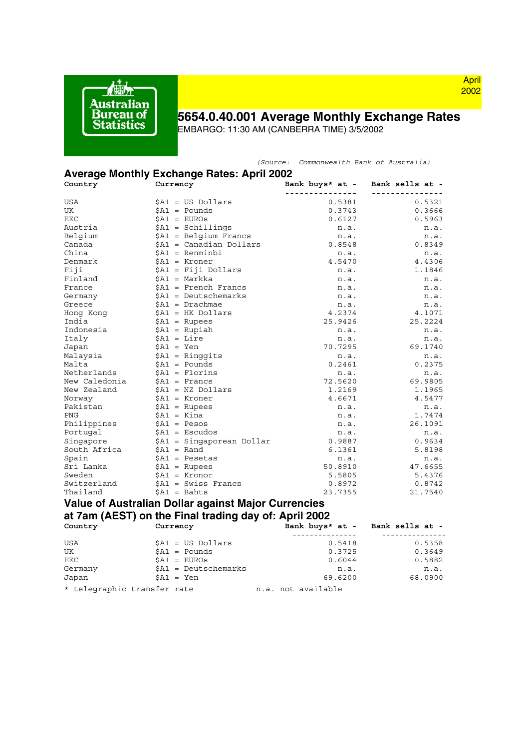

## **5654.0.40.001 Average Monthly Exchange Rates**

*(Source: Commonwealth Bank of Australia)*

EMBARGO: 11:30 AM (CANBERRA TIME) 3/5/2002

### **Average Monthly Exchange Rates: April 2002**

| .<br>. <b></b><br>Country | <br>.<br>Currency                                     | Bank buys* at - Bank sells at - |                 |
|---------------------------|-------------------------------------------------------|---------------------------------|-----------------|
|                           |                                                       | ---------------                 | -----------     |
| USA                       | \$A1 = US Dollars                                     | 0.5381                          | 0.5321          |
| UK                        | $$A1 = Pounds$                                        | 0.3743                          | 0.3666          |
| EEC                       | $$A1 = EUROS$                                         |                                 | 0.5963          |
| Austria                   | $$A1 = Schillings$                                    | 0.6127                          |                 |
|                           |                                                       | n.a.                            | n.a.            |
| Belgium                   | $$A1 = Belgium$ Francs                                | n.a.                            | n.a.            |
| Canada<br>China           | \$A1 = Canadian Dollars                               | 0.8548                          | 0.8349          |
|                           | \$A1 = Renminbi                                       | n.a.                            | n.a.            |
| Denmark                   | $$A1 = Kroner$                                        | 4.5470                          | 4.4306          |
| Fiji                      | \$A1 = Fiji Dollars                                   | n.a.                            | 1.1846          |
| Finland                   | \$A1 = Markka                                         | n.a.                            | n.a.            |
| France                    | $$A1$ = French Francs                                 | n.a.                            | n.a.            |
| Germany                   | \$A1 = Deutschemarks                                  | n.a.                            | n.a.            |
| Greece                    | \$A1 = Drachmae                                       | n.a.                            | n.a.            |
| Hong Kong                 | $$A1$ = HK Dollars                                    | 4.2374                          | 4.1071          |
| India                     | $$A1 = Rupees$                                        | 25.9426                         | 25.2224         |
| Indonesia                 | $$A1 = Rupiah$                                        | n.a.                            | n.a.            |
| Italy                     | \$A1 = Lire                                           | n.a.                            | n.a.            |
| Japan                     | $$A1 = Yen$                                           | 70.7295                         | 69.1740         |
| Malaysia                  | $$A1 = Ringqits$                                      | n.a.                            | n.a.            |
| Malta                     | $$A1 = Pounds$                                        | 0.2461                          | 0.2375          |
| Netherlands               | $$A1 =$ Florins                                       | n.a.                            | n.a.            |
| New Caledonia             | $$AI =$ Francs                                        | 72.5620                         | 69.9805         |
| New Zealand               | $$A1$ = NZ Dollars                                    | 1.2169                          | 1.1965          |
| Norway                    | $$A1 = Kroner$                                        | 4.6671                          | 4.5477          |
| Pakistan                  | $$A1$ = Rupees                                        | n.a.                            | n.a.            |
| PNG                       | \$A1 = Kina                                           | n.a.                            | 1.7474          |
| Philippines               | $$A1 = Pesos$                                         | n.a.                            | 26.1091         |
| Portugal                  | $$A1 = Escudos$                                       | n.a.                            | n.a.            |
| Singapore                 | \$A1 = Singaporean Dollar                             | 0.9887                          | 0.9634          |
| South Africa              | $$A1 = Rand$                                          | 6.1361                          | 5.8198          |
| Spain                     | $$A1 = Pesetas$                                       | n.a.                            | n.a.            |
| Sri Lanka                 | $$A1$ = Rupees                                        | 50.8910                         | 47.6655         |
| Sweden                    | $$AI = Kronor$                                        | 5.5805                          | 5.4376          |
| Switzerland               | $$A1 = Swiss Francis$                                 | 0.8972                          | 0.8742          |
| Thailand                  | $$A1 = Bahts$                                         | 23.7355                         | 21.7540         |
|                           | Value of Australian Dollar against Major Currencies   |                                 |                 |
|                           | at 7am (AEST) on the Final trading day of: April 2002 |                                 |                 |
| Country                   | Currency                                              | Bank buys* at - Bank sells at - |                 |
|                           |                                                       | ________________                | --------------- |
| USA                       | \$A1 = US Dollars                                     | 0.5418                          | 0.5358          |
| UK                        | $$A1 = Pounds$                                        | 0.3725                          | 0.3649          |
| EEC                       | $SAI = EUROS$                                         | 0.6044                          | 0.5882          |

 $\text{EEC}$   $$A1 = \text{EUROs}$  0.6044 0.5882 Germany \$A1 = Deutschemarks n.a. n.a.  $$A1 = Yen$ \* telegraphic transfer rate n.a. not available